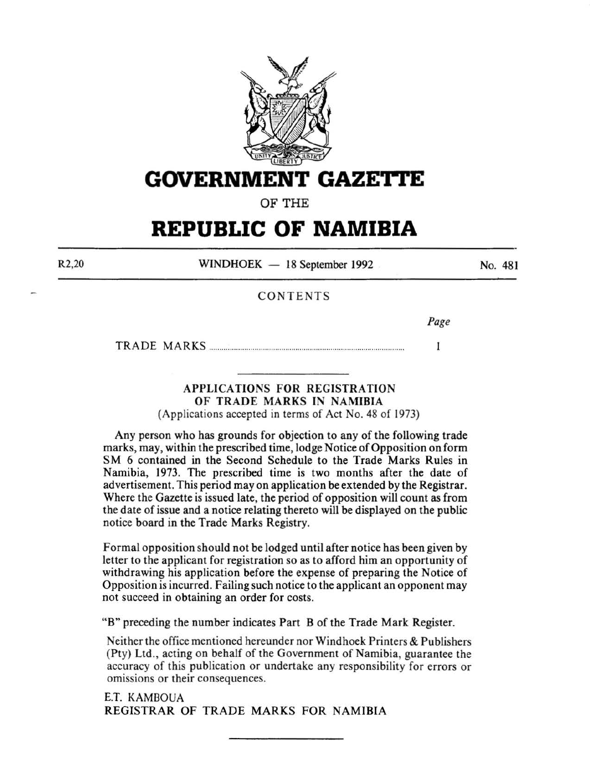

# **GOVERNMENT GAZE'rtE**

OF THE

# **REPUBLIC OF NAMIBIA**

R2,20

 $WINDHOEK - 18$  September 1992

No. 481

# CONTENTS

*Page* 

TRADE MARKS .............................................................................................. .  $\mathbf{I}$ 

# APPLICATIONS FOR REGISTRATION OF TRADE MARKS IN NAMIBIA

(Applications accepted in terms of Act No. 48 of 1973)

Any person who has grounds for objection to any of the following trade marks, may, within the prescribed time, lodge Notice of Opposition on form SM 6 contained in the Second Schedule to the Trade Marks Rules in Namibia, 1973. The prescribed time is two months after the date of advertisement. This period may on application be extended by the Registrar. Where the Gazette is issued late, the period of opposition will count as from the date of issue and a notice relating thereto will be displayed on the public notice board in the Trade Marks Registry.

Formal opposition should not be lodged until after notice has been given by letter to the applicant for registration so as to afford him an opportunity of withdrawing his application before the expense of preparing the Notice of Opposition is incurred. Failing such notice to the applicant an opponent may not succeed in obtaining an order for costs.

"B" preceding the number indicates Part B of the Trade Mark Register.

Neither the office mentioned hereunder nor Windhoek Printers & Publishers (Pty) Ltd., acting on behalf of the Government of Namibia, guarantee the accuracy of this publication or undertake any responsibility for errors or omissions or their consequences.

E.T. KAMBOUA REGISTRAR OF TRADE MARKS FOR NAMIBIA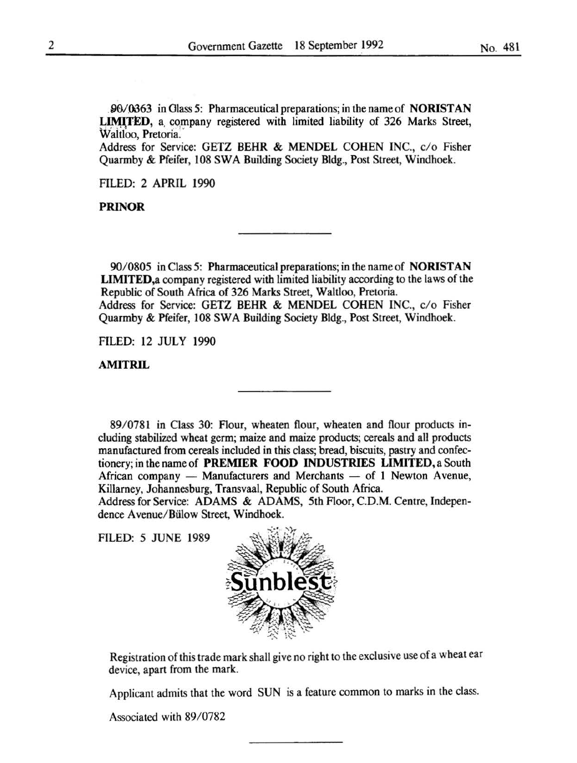90/0363 in Glass 5: Pharmaceutical preparations; in the name of NORISTAN LIMITED, a company registered with limited liability of 326 Marks Street, Waltloo, Pretoria.

Address for Service: GETZ BEHR & MENDEL COHEN INC., c/o Fisher Quarmby & Pfeifer, 108 SWA Building Society Bldg., Post Street, Windhoek.

FILED: 2 APRIL 1990

PRINOR

90/0805 in Class 5: Pharmaceutical preparations; in the name of NORISTAN LIMITED,a company registered with limited liability according to the laws of the Republic of South Africa of 326 Marks Street, Waltloo, Pretoria. Address for Service: GETZ BEHR & MENDEL COHEN INC., c/o Fisher Quarmby & Pfeifer, 108 SWA Building Society Bldg., Post Street, Windhoek.

FILED: 12 JULY 1990

AMITRIL

89/ 0781 in Class 30: Flour, wheaten flour, wheaten and flour products including stabilized wheat germ; maize and maize products; cereals and all products manufactured from cereals included in this class; bread, biscuits, pastry and confectionery; in the name of PREMIER FOOD INDUSTRIES LIMITED, a South African company  $-$  Manufacturers and Merchants  $-$  of 1 Newton Avenue, Killarney, Johannesburg, Transvaal, Republic of South Africa.

Address for Service: ADAMS & ADAMS, 5th Floor, C.D.M. Centre, Independence Avenue/Bülow Street, Windhoek.

FILED: 5 JUNE 1989



Registration of this trade mark shall give no right to the exclusive use of a wheat ear device, apart from the mark.

Applicant admits that the word SUN is a feature common to marks in the class.

Associated with 89/0782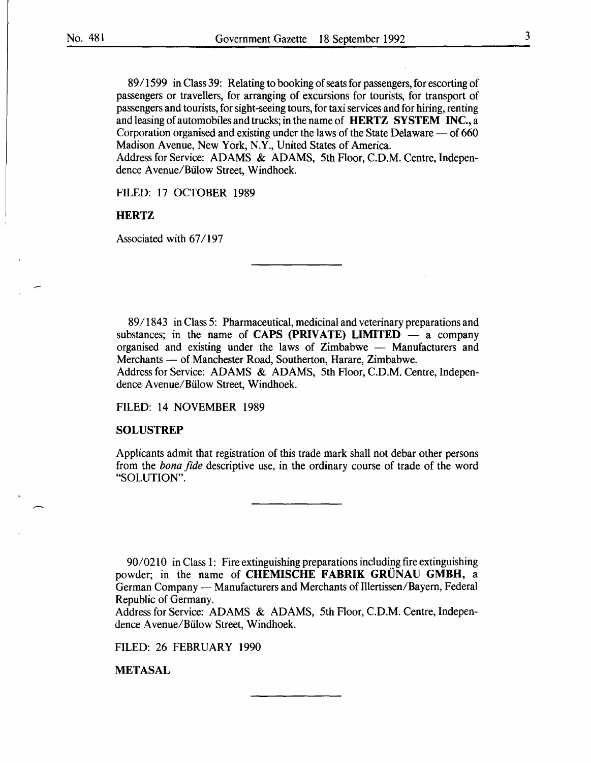89 I 1599 in Class 39: Relating to booking of seats for passengers, for escorting of passengers or travellers, for arranging of excursions for tourists, for transport of passengers and tourists, for sight-seeing tours, for taxi services and for hiring, renting and leasing of automobiles and trucks; in the name of **HERTZ SYSTEM INC.,** a Corporation organised and existing under the laws of the State Delaware  $-$  of 660 Madison Avenue, New York, N.Y., United States of America.

Address for Service: ADAMS & ADAMS, 5th Floor, C.D.M. Centre, Independence Avenue/Bülow Street, Windhoek.

FILED: 17 OCTOBER 1989

#### **HERTZ**

Associated with 67/197

89/1843 in Class 5: Pharmaceutical, medicinal and veterinary preparations and substances; in the name of **CAPS (PRIVATE) LIMITED**  $-$  a company organised and existing under the laws of Zimbabwe - Manufacturers and Merchants — of Manchester Road, Southerton, Harare, Zimbabwe.

Address for Service: ADAMS & ADAMS, 5th Floor, C.D.M. Centre, Independence Avenue/Bülow Street, Windhoek.

FILED: 14 NOVEMBER 1989

#### **SOLUSTREP**

Applicants admit that registration of this trade mark shall not debar other persons from the *bona fide* descriptive use, in the ordinary course of trade of the word "SOLUTION".

9010210 in Class **1:** Fire extinguishing preparations including fire extinguishing powder; in the name of **CHEMISCHE FABRIK GRUNAU GMBH,** a German Company — Manufacturers and Merchants of Illertissen/Bayern, Federal Republic of Germany.

Address for Service: ADAMS & ADAMS, 5th Floor, C.D.M. Centre, Independence Avenue/Bülow Street, Windhoek.

FILED: 26 FEBRUARY 1990

**METASAL**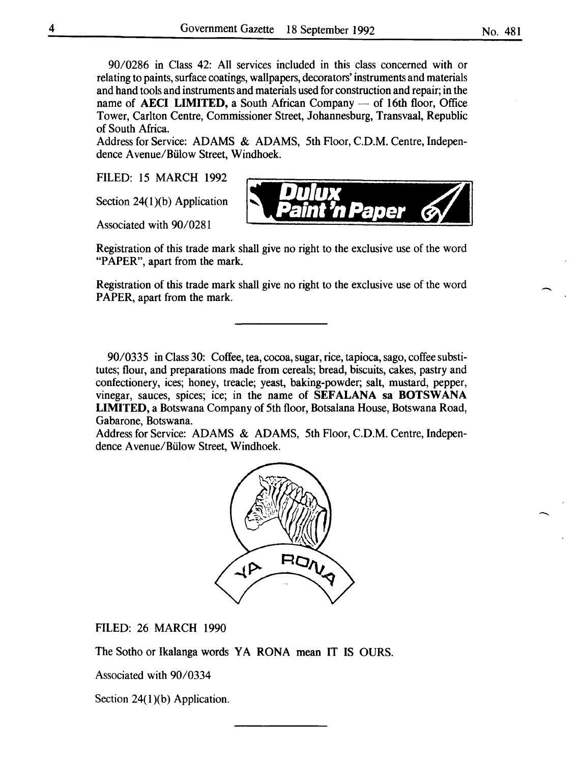90/0286 in Class 42: All services included in this class concerned with or relating to paints, surface coatings, wallpapers, decorators' instruments and materials and hand tools and instruments and materials used for construction and repair; in the name of **AECI LIMITED**, a South African Company  $-$  of 16th floor, Office Tower, Carlton Centre, Commissioner Street, Johannesburg, Transvaal, Republic of South Africa.

Address for Service: ADAMS & ADAMS, 5th Floor, C.D.M. Centre, Independence Avenue/Biilow Street, Windhoek.

**'X** 

*'nPaper* 

FILED: 15 MARCH 1992

Section 24 $(1)(b)$  Application

Associated with 90/0281

Registration of this trade mark shall give no right to the exclusive use of the word "PAPER", apart from the mark.

Registration of this trade mark shall give no right to the exclusive use of the word PAPER, apart from the mark.

90/0335 in Class 30: Coffee, tea, cocoa, sugar, rice, tapioca, sago, coffee substitutes; flour, and preparations made from cereals; bread, biscuits, cakes, pastry and confectionery, ices; honey, treacle; yeast, baking-powder; salt, mustard, pepper, vinegar, sauces, spices; ice; in the name of SEFALANA sa BOTSWANA LIMITED, a Botswana Company of 5th floor, Botsalana House, Botswana Road, Gabarone, Botswana.

Address for Service: ADAMS & ADAMS, 5th Floor, C.D.M. Centre, Independence A venue/Biilow Street, Windhoek.



FILED: 26 MARCH 1990

The Sotho or Ikalanga words YA RONA mean IT IS OURS.

Associated with 90/0334

Section  $24(1)(b)$  Application.

-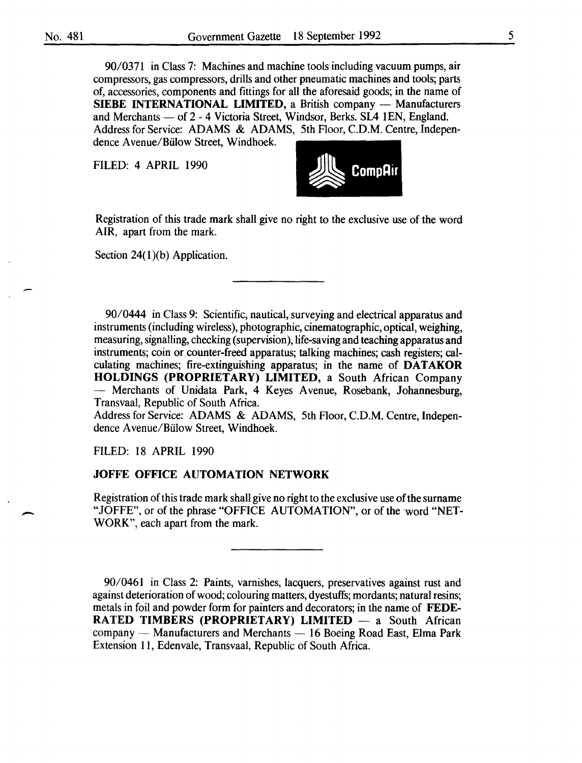-

90/0371 in Class 7: Machines and machine tools including vacuum pumps, air compressors, gas compressors, drills and other pneumatic machines and tools; parts of, accessories, components and fittings for all the aforesaid goods; in the name of **SIEBE INTERNATIONAL LIMITED, a British company - Manufacturers** and Merchants - of 2 - 4 Victoria Street, Windsor, Berks. SL4 1EN, England. Address for Service: ADAMS & ADAMS, 5th Floor, C.D.M. Centre, Independence A venue/Biilow Street, Windhoek.

**FILED: 4 APRIL 1990** 



Registration of this trade mark shall give no right to the exclusive use of the word AIR, apart from the mark.

Section 24(1)(b) Application.

90/0444 in Class 9: Scientific, nautical, surveying and electrical apparatus and instruments (including wireless), photographic, cinematographic, optical, weighing, measuring, signalling, checking (supervision), life-saving and teaching apparatus and instruments; coin or counter-freed apparatus; talking machines; cash registers; calculating machines; fire-extinguishing apparatus; in the name of **DATAKOR HOLDINGS (PROPRIETARY) LIMITED,** a South African Company - Merchants of Unidata Park, 4 Keyes Avenue, Rosebank, Johannesburg, Transvaal, Republic of South Africa.

Address for Service: ADAMS & ADAMS, 5th Floor, C.D.M. Centre, Independence A venue/Biilow Street, Windhoek.

FILED: 18 APRIL 1990

# **JOFFE OFFICE AUTOMATION NETWORK**

Registration of this trade mark shall give no right to the exclusive use of the surname "JOFFE", or of the phrase "OFFICE AUTOMATION", or of the ·word "NET-WORK", each apart from the mark.

90/0461 in Class 2: Paints, varnishes, lacquers, preservatives against rust and against deterioration of wood; colouring matters, dyestuffs; mordants; natural resins; metals in foil and powder form for painters and decorators; in the name of **FEDE-RATED TIMBERS (PROPRIETARY) LIMITED** - a South African company  $-$  Manufacturers and Merchants  $-16$  Boeing Road East, Elma Park Extension 11, Edenvale, Transvaal, Republic of South Africa.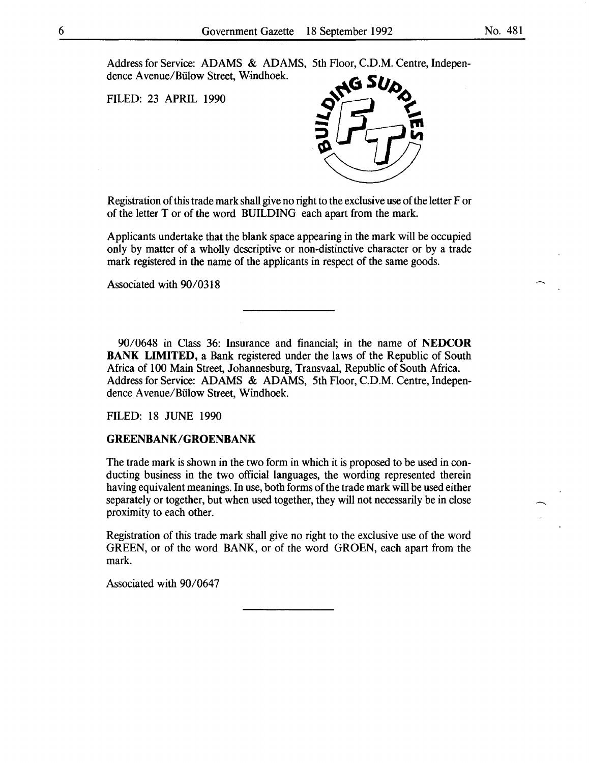Address for Service: ADAMS & ADAMS, 5th Floor, C.D.M. Centre, Independence A venue/Biilow Street, Windhoek.

FILED: 23 APRIL 1990



Registration of this trade mark shall give no right to the exclusive use of the letter For of the letter T or of the word BUILDING each apart from the mark.

Applicants undertake that the blank space appearing in the mark will be occupied only by matter of a wholly descriptive or non-distinctive character or by a trade mark registered in the name of the applicants in respect of the same goods.

Associated with 90/0318

90/0648 in Class 36: Insurance and financial; in the name of **NEDCOR BANK LIMITED,** a Bank registered under the laws of the Republic of South Africa of 100 Main Street, Johannesburg, Transvaal, Republic of South Africa. Address for Service: ADAMS & ADAMS, 5th Floor, C.D.M. Centre, Independence A venue/Biilow Street, Windhoek.

FILED: 18 JUNE 1990

#### **GREENBANK/GROENBANK**

The trade mark is shown in the two form in which it is proposed to be used in conducting business in the two official languages, the wording represented therein having equivalent meanings. In use, both forms of the trade mark will be used either separately or together, but when used together, they will not necessarily be in close proximity to each other.

Registration of this trade mark shall give no right to the exclusive use of the word GREEN, or of the word BANK, or of the word GROEN, each apart from the mark.

Associated with 90/0647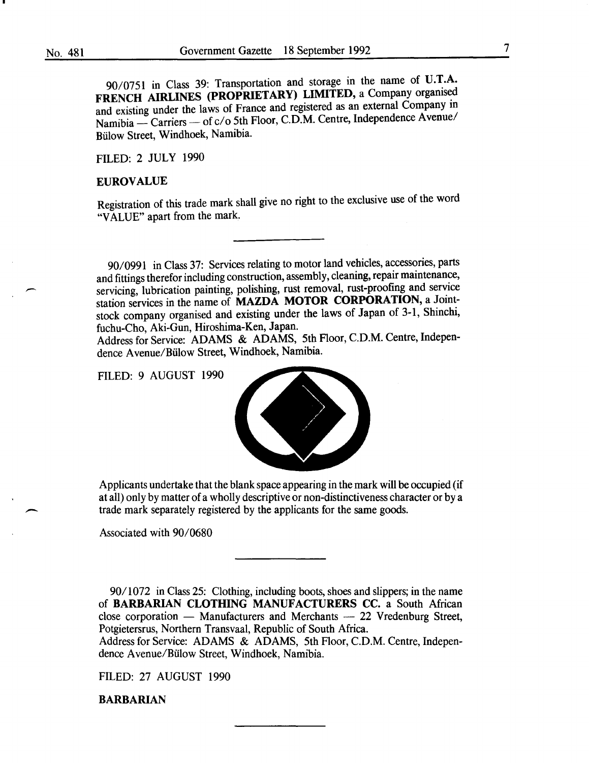90/0751 in Class 39: Transportation and storage in the name of **U.T.A. FRENCH AIRLINES (PROPRIETARY) LIMITED,** a Company organised and existing under the laws of France and registered as an external Company in Namibia - Carriers - of c/o 5th Floor, C.D.M. Centre, Independence Avenue/ Biilow Street, Windhoek, Namibia.

FILED: 2 JULY 1990

#### **EUROVALUE**

Registration of this trade mark shall give no right to the exclusive use of the word "VALUE" apart from the mark.

90/0991 in Class 37: Services relating to motor land vehicles, accessories, parts and fittings therefor including construction, assembly, cleaning, repair maintenance, servicing, lubrication painting, polishing, rust removal, rust-proofing and service station services in the name of **MAZDA MOTOR CORPORATION**, a Jointstock company organised and existing under the laws of Japan of 3-1, Shinchi, fuchu-Cho, Aki-Gun, Hiroshima-Ken, Japan.

Address for Service: ADAMS & ADAMS, 5th Floor, C.D.M. Centre, Independence A venue/Biilow Street, Windhoek, Namibia.

FILED: 9 AUGUST 1990



Applicants undertake that the blank space appearing in the mark will be occupied (if at all) only by matter of a wholly descriptive or non-distinctiveness character or by a trade mark separately registered by the applicants for the same goods.

Associated with 90/0680

90/1072 in Class 25: Clothing, including boots, shoes and slippers; in the name of **BARBARIAN CLOTHING MANUFACTURERS** CC. a South African close corporation - Manufacturers and Merchants - 22 Vredenburg Street, Potgietersrus, Northern Transvaal, Republic of South Africa.

Address for Service: ADAMS & ADAMS, 5th Floor, C.D.M. Centre, Independence A venue/Biilow Street, Windhoek, Namibia.

FILED: 27 AUGUST 1990

**BARBARIAN**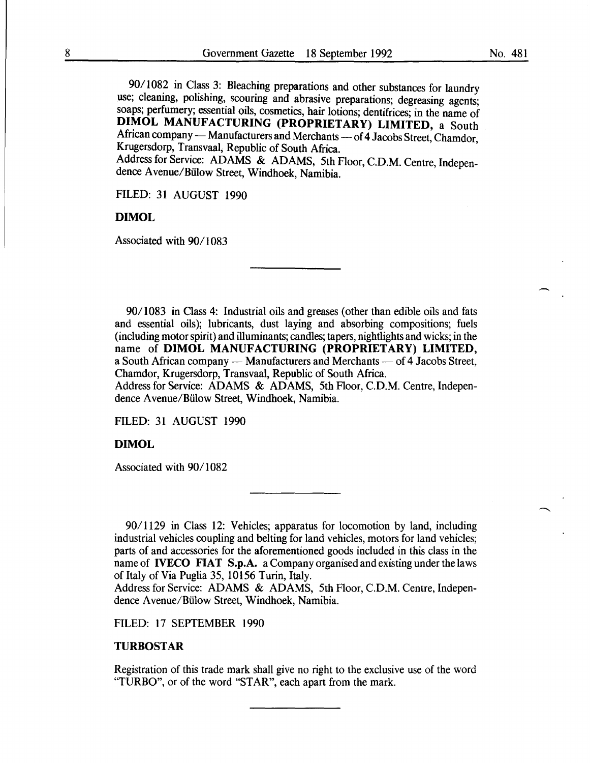90/1082 in Class 3: Bleaching preparations and other substances for laundry use; cleaning, polishing, scouring and abrasive preparations; degreasing agents; soaps; perfumery; essential oils, cosmetics, hair lotions; dentifrices; in the name of DIMOL MANUFACTURING (PROPRIETARY) LIMITED, a South African company — Manufacturers and Merchants — of 4 Jacobs Street, Chamdor, Krugersdorp, Transvaal; Republic of South Africa.

Address for Service: ADAMS & ADAMS, 5th Floor, C.D.M. Centre, Independence A venue/Biilow Street, Windhoek, Namibia.

FILED: 31 AUGUST 1990

#### DIMOL

Associated with 90/1083

90/1083 in Class 4: Industrial oils and greases (other than edible oils and fats and essential oils); lubricants, dust laying and absorbing compositions; fuels (including motor spirit) and illuminants; candles; tapers, nightlights and wicks; in the name of DIMOL MANUFACTURING (PROPRIETARY) LIMITED, a South African company - Manufacturers and Merchants - of 4 Jacobs Street, Chamdor, Krugersdorp, Transvaal, Republic of South Africa.

Address for Service: ADAMS & ADAMS, 5th Floor, C.D.M. Centre, Independence A venue/Biilow Street, Windhoek, Namibia.

FILED: 31 AUGUST 1990

# DIMOL

Associated with 90/1082

90/1129 in Class 12: Vehicles; apparatus for locomotion by land, including industrial vehicles coupling and belting for land vehicles, motors for land vehicles; parts of and accessories for the aforementioned goods included in this class in the name of IVECO FIAT S.p.A. a Company organised and existing under the laws of Italy of Via Puglia 35, 10156 Turin, Italy.

Address for Service: ADAMS & ADAMS, 5th Floor, C.D.M. Centre, Independence Avenue/Biilow Street, Windhoek, Namibia.

FILED: 17 SEPTEMBER 1990

# TURBOSTAR

Registration of this trade mark shall give no right to the exclusive use of the word "TURBO", or of the word "STAR", each apart from the mark.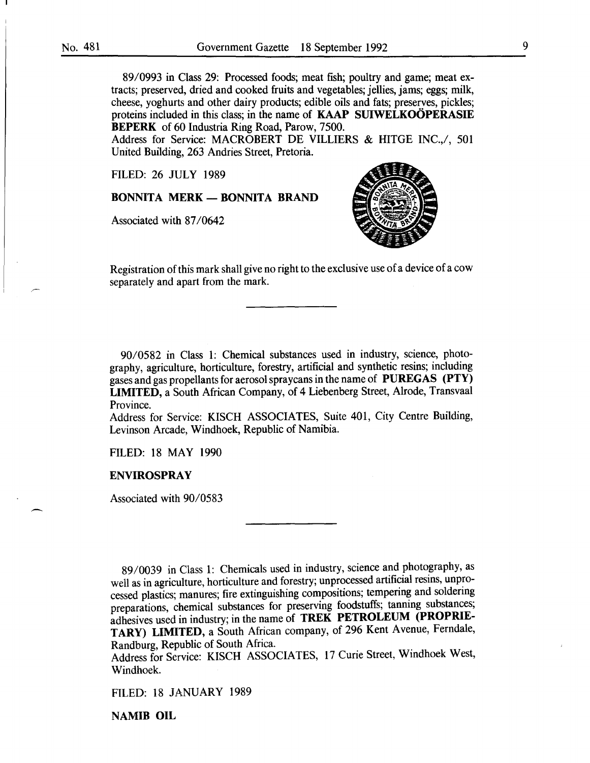89/0993 in Class 29: Processed foods; meat fish; poultry and game; meat extracts; preserved, dried and cooked fruits and vegetables; jellies, jams; eggs; milk, cheese, yoghurts and other dairy products; edible oils and fats; preserves, pickles; proteins included in this class; in the name of **KAAP SUIWELKOOPERASIE** BEPERK of 60 Industria Ring Road, Parow, 7500.

Address for Service: MACROBERT DE VILLIERS & HITGE INC., 601 United Building, 263 Andries Street, Pretoria.

FILED: 26 JULY 1989

BONNITA MERK - BONNITA BRAND

Associated with 87/0642



Registration of this mark shall give no right to the exclusive use of a device of a cow separately and apart from the mark.

90/0582 in Class 1: Chemical substances used in industry, science, photography, agriculture, horticulture, forestry, artificial and synthetic resins; including gases and gas propellants for aerosol spraycans in the name of PUREGAS (PTY) LIMITED, a South African Company, of 4 Liebenberg Street, Alrode, Transvaal Province.

Address for Service: KISCH ASSOCIATES, Suite 401, City Centre Building, Levinson Arcade, Windhoek, Republic of Namibia.

FILED: 18 MAY 1990

#### ENVIROSPRAY

Associated with 90/0583

89/0039 in Class 1: Chemicals used in industry, science and photography, as well as in agriculture, horticulture and forestry; unprocessed artificial resins, unprocessed plastics; manures; fire extinguishing compositions; tempering and soldering preparations, chemical substances for preserving foodstuffs; tanning substances; adhesives used in industry; in the name of TREK PETROLEUM (PROPRIE-TARY) LIMITED, a South African company, of 296 Kent Avenue, Ferndale, Randburg, Republic of South Africa.

Address for Service: KISCH ASSOCIATES, 17 Curie Street, Windhoek West, Windhoek.

FILED: 18 JANUARY 1989

NAMIB OIL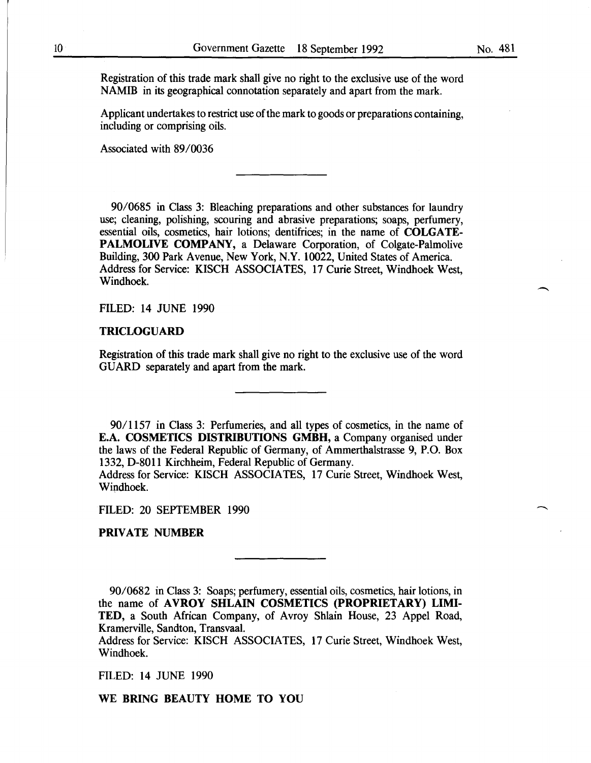Registration of this trade mark shall give no right to the exclusive use of the word NAMIB in its geographical connotation separately and apart from the mark.

Applicant undertakes to restrict use of the mark to goods or preparations containing, including or comprising oils.

Associated with 89/0036

90/0685 in Class 3: Bleaching preparations and other substances for laundry use; cleaning, polishing, scouring and abrasive preparations; soaps, perfumery, essential oils, cosmetics, hair lotions; dentifrices; in the name of COLGATE-PALMOLIVE COMPANY, a Delaware Corporation, of Colgate-Palmolive Building, 300 Park Avenue, New York, N.Y. 10022, United States of America. Address for Service: KISCH ASSOCIATES, 17 Curie Street, Windhoek West, Windhoek.

FILED: 14 JUNE 1990

#### TRICLOGUARD

Registration of this trade mark shall give no right to the exclusive use of the word GUARD separately and apart from the mark.

90/1157 in Class 3: Perfumeries, and all types of cosmetics, in the name of E.A. COSMETICS DISTRIBUTIONS GMBH, a Company organised under the laws of the Federal Republic of Germany, of Ammerthalstrasse 9, P.O. Box 1332, D-8011 Kirchheim, Federal Republic of Germany.

Address for Service: KISCH ASSOCIATES, 17 Curie Street, Windhoek West, Wipdhoek.

FILED: 20 SEPTEMBER 1990

PRIVATE NUMBER

90/0682 in Class 3: Soaps; perfumery, essential oils, cosmetics, hair lotions, in the name of AVROY SHLAIN COSMETICS (PROPRIETARY) LIMI-TED, a South African Company, of Avroy Shlain House, 23 Appel Road, Kramerville, Sandton, Transvaal.

Address for Service: KISCH ASSOCIATES, 17 Curie Street, Windhoek West, Windhoek.

FILED: 14 JUNE 1990

WE BRING BEAUTY HOME TO YOU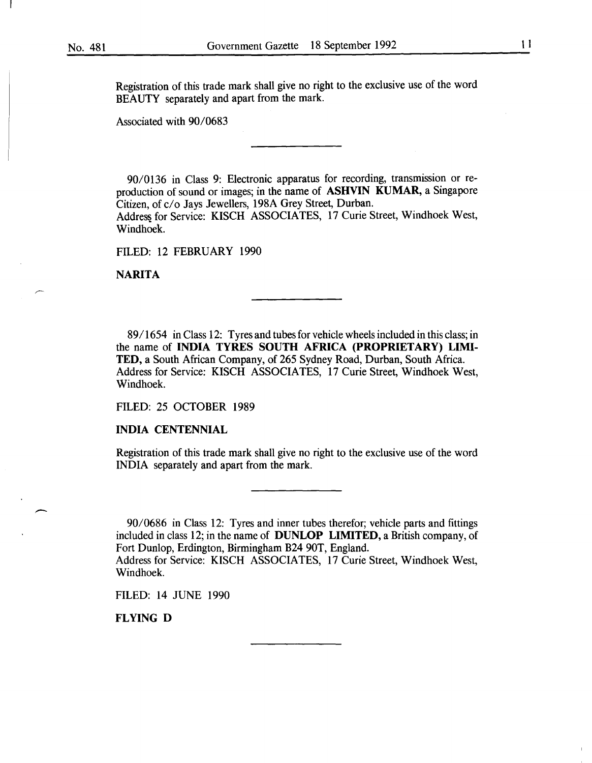Registration of this trade mark shall give no right to the exclusive use of the word BEAUTY separately and apart from the mark.

Associated with 90/0683

90/0136 in Class 9: Electronic apparatus for recording, transmission or reproduction of sound or images; in the name of ASHVIN KUMAR, a Singapore Citizen, of c/o Jays Jewellers, 198A Grey Street, Durban.

Address for Service: KISCH ASSOCIATES, 17 Curie Street, Windhoek West, Windhoek.

FILED: 12 FEBRUARY 1990

NARITA

89/1654 in Class 12: Tyres and tubes for vehicle wheels included in this class; in the name of INDIA TYRES SOUTH AFRICA (PROPRIETARY) LIMI-TED, a South African Company, of 265 Sydney Road, Durban, South Africa. Address for Service: KISCH ASSOCIATES, 17 Curie Street, Windhoek West, Windhoek.

FILED: 25 OCTOBER 1989

INDIA CENTENNIAL

Registration of this trade mark shall give no right to the exclusive use of the word INDIA separately and apart from the mark.

90/0686 in Class 12: Tyres and inner tubes therefor; vehicle parts and fittings included in class 12; in the name of DUNLOP LIMITED, a British company, of Fort Dunlop, Erdington, Birmingham B24 90T, England.

Address for Service: KISCH ASSOCIATES, 17 Curie Street, Windhoek West, Windhoek.

FILED: 14 JUNE 1990

FLYING D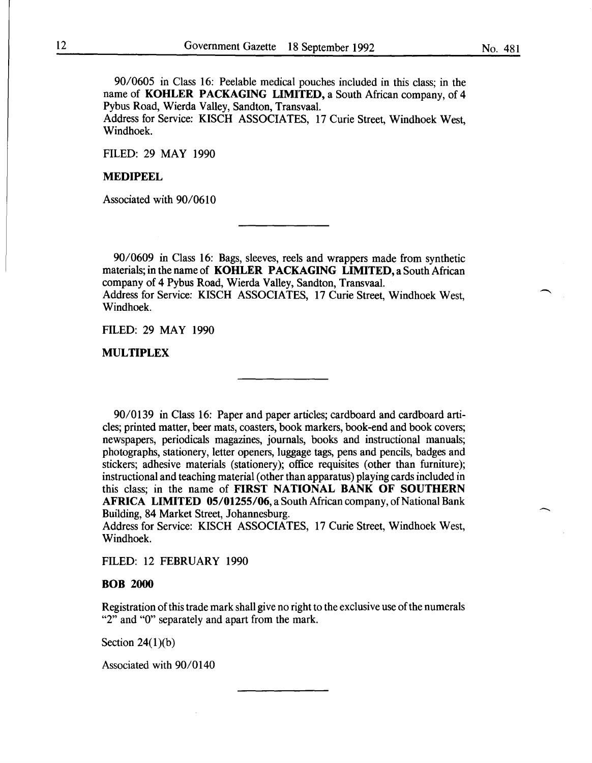90/0605 in Class 16: Peelable medical pouches included in this class; in the name of KOHLER PACKAGING LIMITED, a South African company, of 4 Pybus Road, Wierda Valley, Sandton, Transvaal.

Address for Service: KISCH ASSOCIATES, 17 Curie Street, Windhoek West, Windhoek.

FILED: 29 MAY 1990

#### MEDIPEEL

Associated with 90/0610

90/0609 in Class 16: Bags, sleeves, reels and wrappers made from synthetic materials; in the name of KOHLER PACKAGING LIMITED, a South African company of 4 Pybus Road, Wierda Valley, Sandton, Transvaal. Address for Service: KISCH ASSOCIATES, 17 Curie Street, Windhoek West, Windhoek.

FILED: 29 MAY 1990

MULTIPLEX

90/0139 in Class 16: Paper and paper articles; cardboard and cardboard articles; printed matter, beer mats, coasters, book markers, book-end and book covers; newspapers, periodicals magazines, journals, books and instructional manuals; photographs, stationery, letter openers, luggage tags, pens and pencils, badges and stickers; adhesive materials (stationery); office requisites (other than furniture); instructional and teaching material (other than apparatus) playing cards included in this class; in the name of FIRST NATIONAL BANK OF SOUTHERN AFRICA LIMITED 05/01255/06, a South African company, of National Bank Building, 84 Market Street, Johannesburg.

Address for Service: KISCH ASSOCIATES, 17 Curie Street, Windhoek West, Windhoek.

FILED: 12 FEBRUARY 1990

#### BOB 2000

Registration of this trade mark shall give no right to the exclusive use of the numerals "2" and "0" separately and apart from the mark.

Section  $24(1)(b)$ 

Associated with 90/0140

 $\overline{\phantom{a}}$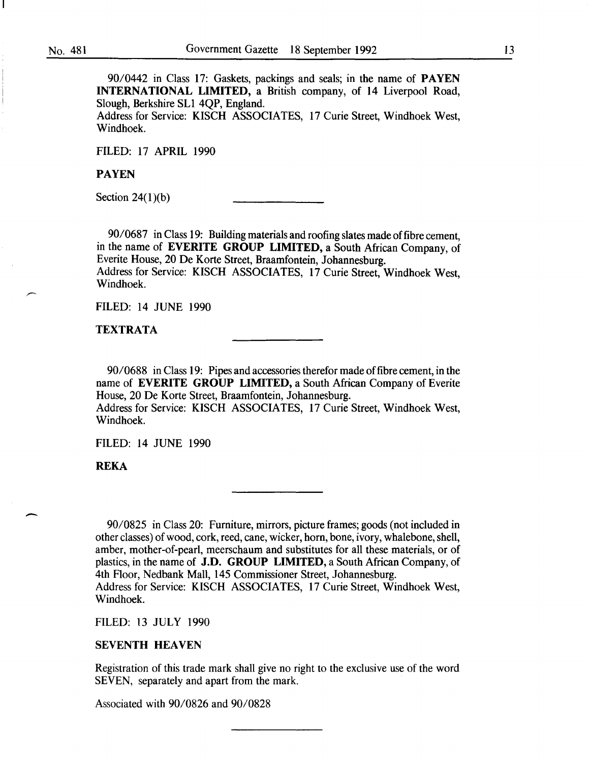90/0442 in Class 17: Gaskets, packings and seals; in the name of **PAYEN** INTERNATIONAL LIMITED, a British company, of 14 Liverpool Road, Slough, Berkshire SL1 4QP, England.

Address for Service: KISCH ASSOCIATES, 17 Curie Street, Windhoek West, Windhoek.

FILED: 17 APRIL 1990

PAYEN

Section  $24(1)(b)$ 

90/0687 in Class 19: Building materials and roofing slates made of fibre cement, in the name of EVERITE GROUP LIMITED, a South African Company, of Everite House, 20 De Korte Street, Braamfontein, Johannesburg. Address for Service: KISCH ASSOCIATES, 17 Curie Street, Windhoek West, Windhoek.

FILED: 14 JUNE 1990

TEXTRATA

90/0688 in Class 19: Pipes and accessories therefor made of fibre cement, in the name of EVERITE GROUP LIMITED, a South African Company of Everite House, 20 De Korte Street, Braamfontein, Johannesburg. Address for Service: KISCH ASSOCIATES, 17 Curie Street, Windhoek West, Windhoek.

FILED: 14 JUNE 1990

REKA

 $\overline{\phantom{a}}$ 

90/0825 in Class 20: Furniture, mirrors, picture frames; goods (not included in other classes) of wood, cork, reed, cane, wicker, horn, bone, ivory, whalebone, shell, amber, mother-of-pearl, meerschaum and substitutes for all these materials, or of plastics, in the name of J.D. GROUP LIMITED, a South African Company, of 4th Floor, Nedbank Mall, 145 Commissioner Street, Johannesburg. Address for Service: KISCH ASSOCIATES, 17 Curie Street, Windhoek West, Windhoek.

FILED: 13 JULY 1990

#### SEVENTH HEAVEN

Registration of this trade mark shall give no right to the exclusive use of the word SEVEN, separately and apart from the mark.

Associated with 90/0826 and 90/0828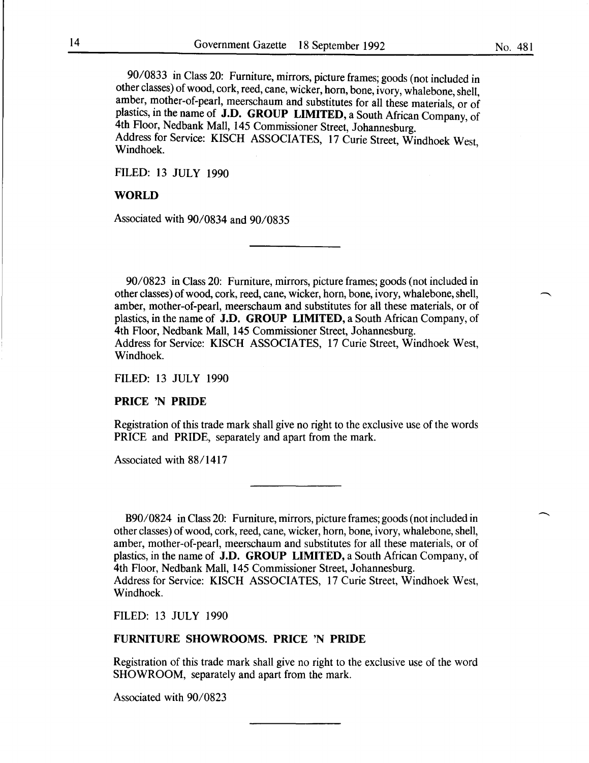No. 481

90/0833 in Class 20: Furniture, mirrors, picture frames; goods (not included in other classes) of wood, cork, reed, cane, wicker, horn, bone, ivory, whalebone, shell, amber, mother-of-pearl, meerschaum and substitutes for all these materials, or of plastics, in the name of J.D. GROUP LIMITED, a South African Company, of 4th Floor, Nedbank Mall, 145 Commissioner Street, Johannesburg. Address for Service: KISCH ASSOCIATES, 17 Curie Street, Windhoek West, Windhoek.

FILED: 13 JULY 1990

# WORLD

Associated with 90/0834 and 90/0835

90/0823 in Class 20: Furniture, mirrors, picture frames; goods (not included in other classes) of wood, cork, reed, cane, wicker, horn, bone, ivory, whalebone, shell, amber, mother-of-pearl, meerschaum and substitutes for all these materials, or of plastics, in the name of J.D. GROUP LIMITED, a South African Company, of 4th Floor, Nedbank Mall, 145 Commissioner Street, Johannesburg. Address for Service: KISCH ASSOCIATES, 17 Curie Street, Windhoek West, Windhoek.

FILED: 13 JULY 1990

#### PRICE 'N PRIDE

Registration of this trade mark shall give no right to the exclusive use of the words PRICE and PRIDE, separately and apart from the mark.

Associated with 88/1417

B90/0824 in Class 20: Furniture, mirrors, picture frames; goods (not included in other classes) of wood, cork, reed, cane, wicker, horn, bone, ivory, whalebone, shell, amber, mother-of-pearl, meerschaum and substitutes for all these materials, or of plastics, in the name of J.D. GROUP LIMITED, a South African Company, of 4th Floor, Nedbank Mall, 145 Commissioner Street, Johannesburg. Address for Service: KISCH ASSOCIATES, 17 Curie Street, Windhoek West, Windhoek.

FILED: 13 JULY 1990

# FURNITURE SHOWROOMS. PRICE 'N PRIDE

Registration of this trade mark shall give no right to the exclusive use of the word SHOWROOM, separately and apart from the mark.

Associated with 90/0823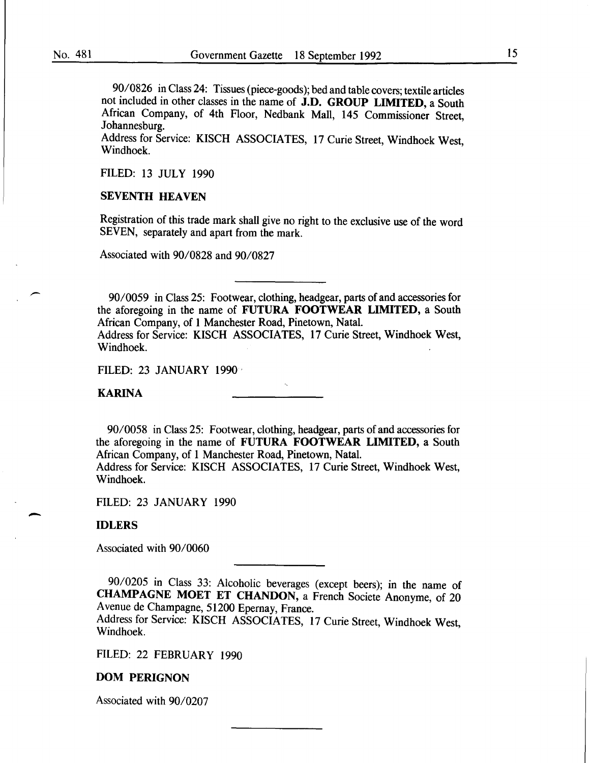90/0826 in Class 24: Tissues (piece-goods); bed and table covers; textile articles not included in other classes in the name of J.D. GROUP LIMITED, a South African Company, of 4th Floor, Nedbank Mall, 145 Commissioner Street, Johannesburg.

Address for Service: KISCH ASSOCIATES, 17 Curie Street, Windhoek West, Windhoek.

FILED: 13 JULY 1990

## SEVENTH HEAVEN

Registration of this trade mark shall give no right to the exclusive use of the word SEVEN, separately and apart from the mark.

Associated with 90/0828 and 90/0827

90/0059 in Class 25: Footwear, clothing, headgear, parts of and accessories for the aforegoing in the name of FUTURA FOOTWEAR LIMITED, a South African Company, of 1 Manchester Road, Pinetown, Natal. Address for Service: KISCH ASSOCIATES, 17 Curie Street, Windhoek West, Windhoek.

FILED: 23 JANUARY 1990

KARINA

90/0058 in Class 25: Footwear, clothing, headgear, parts of and accessories for the aforegoing in the name of FUTURA FOOTWEAR LIMITED, a South African Company, of 1 Manchester Road, Pinetown, Natal.

Address for Service: KISCH ASSOCIATES, 17 Curie Street, Windhoek West, Windhoek.

FILED: 23 JANUARY 1990

#### IDLERS

-

Associated with 90/0060

90/0205 in Class 33: Alcoholic beverages (except beers); in the name of CHAMPAGNE MOET ET CHANDON, a French Societe Anonyme, of 20 Avenue de Champagne, 51200 Epernay, France.

Address for Service: KISCH ASSOCIATES, 17 Curie Street, Windhoek West, Windhoek.

FILED: 22 FEBRUARY 1990

#### DOM PERIGNON

Associated with 90/0207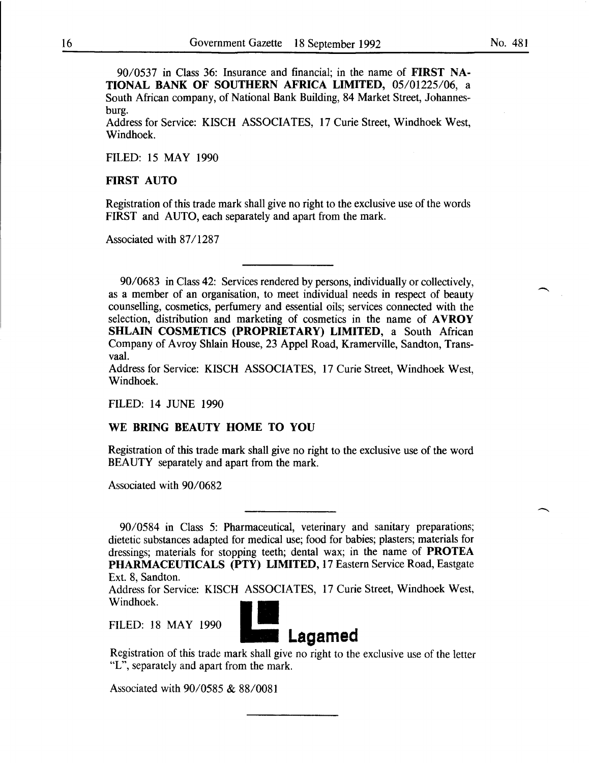90/0537 in Class 36: Insurance and financial; in the name of FIRST NA-TIONAL BANK OF SOUTHERN AFRICA LIMITED, 05/01225/06, a South African company, of National Bank Building, 84 Market Street, Johannesburg.

Address for Service: KISCH ASSOCIATES, 17 Curie Street, Windhoek West, Windhoek.

FILED: 15 MAY 1990

#### FIRST AUTO

Registration of this trade mark shall give no right to the exclusive use of the words FIRST and AUTO, each separately and apart from the mark.

Associated with 87/1287

90/0683 in Class 42: Services rendered by persons, individually or collectively, as a member of an organisation, to meet individual needs in respect of beauty counselling, cosmetics, perfumery and essential oils; services connected with the selection, distribution and marketing of cosmetics in the name of AVROY SHLAIN COSMETICS (PROPRIETARY) LIMITED, a South African Company of Avroy Shlain House, 23 Appel Road, Kramerville, Sandton, Transvaal.

Address for Service: KISCH ASSOCIATES, 17 Curie Street, Windhoek West, Windhoek.

FILED: 14 JUNE 1990

#### WE BRING BEAUTY HOME TO YOU

Registration of this trade mark shall give no right to the exclusive use of the word BEAUTY separately and apart from the mark.

Associated with 90/0682

90/0584 in Class 5: Pharmaceutical, veterinary and sanitary preparations; dietetic substances adapted for medical use; food for babies; plasters; materials for dressings; materials for stopping teeth; dental wax; in the name of PROTEA PHARMACEUTICALS (PTY) LIMITED, 17 Eastern Service Road, Eastgate Ext. 8, Sandton.

Address for Service: KISCH ASSOCIATES, 17 Curie Street, Windhoek West, Windhoek.

FILED: 18 MAY 1990



Registration of this trade mark shall give no right to the exclusive use of the letter "L", separately and apart from the mark.

Associated with 90/0585 & 88/0081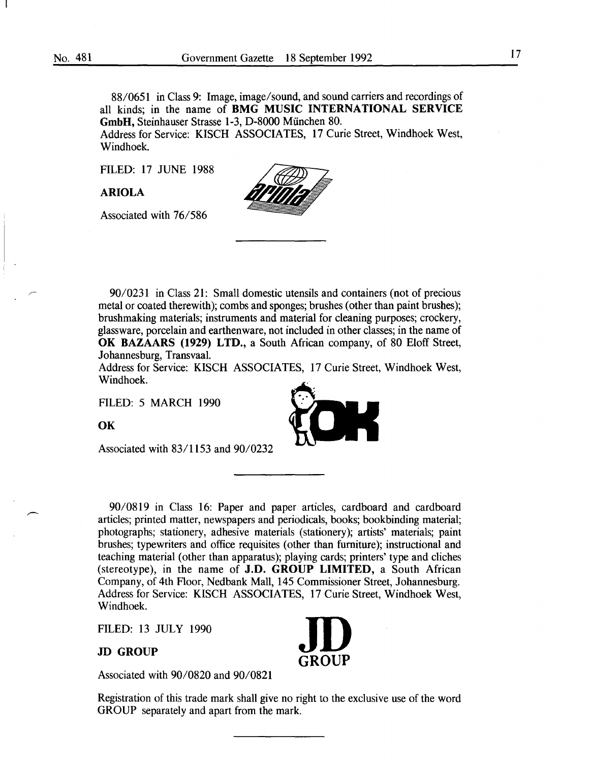88/0651 in Class 9: Image, image/sound, and sound carriers and recordings of all kinds; in the name of **BMG MUSIC INTERNATIONAL SERVICE GmbH,** Steinhauser Strasse 1-3, D-8000 Miinchen 80.

Address for Service: KISCH ASSOCIATES, 17 Curie Street, Windhoek West, Windhoek.

FILED: 17 JUNE 1988

**ARIOLA** 

Associated with 76/586



Address for Service: KISCH ASSOCIATES, 17 Curie Street, Windhoek West, Windhoek.

FILED: 5 MARCH 1990

**OK** 

Associated with 83/1153 and 90/0232

90/0819 in Class 16: Paper and paper articles, cardboard and cardboard articles; printed matter, newspapers and periodicals, books; bookbinding material; photographs; stationery, adhesive materials (stationery); artists' materials; paint brushes; typewriters and office requisites (other than furniture); instructional and teaching material (other than apparatus); playing cards; printers' type and cliches (stereotype), in the name of **J.D. GROUP LIMITED,** a South African Company, of 4th Floor, Nedbank Mall, 145 Commissioner Street, Johannesburg. Address for Service: KISCH ASSOCIATES, 17 Curie Street, Windhoek West, Windhoek.

FILED: 13 JULY 1990

**JD GROUP** 

Associated with 90/0820 and 90/0821

Registration of this trade mark shall give no right to the exclusive use of the word GROUP separately and apart from the mark.

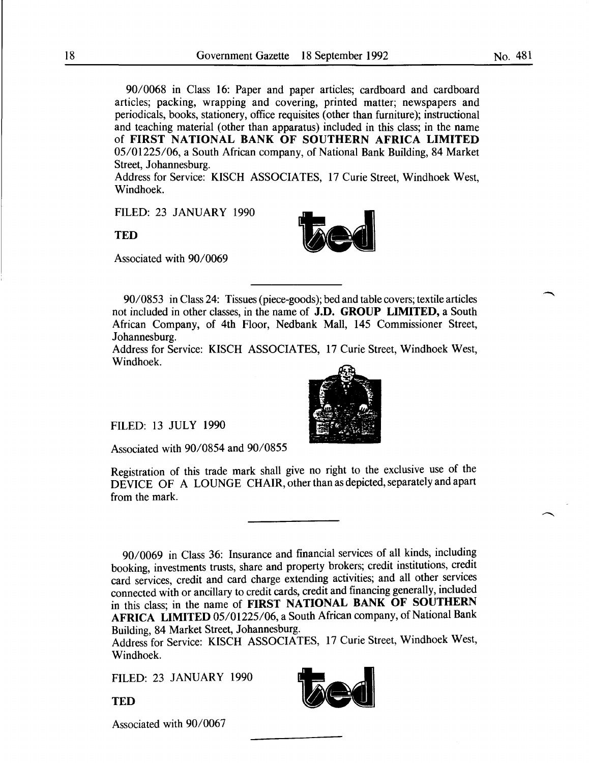90/0068 in Class 16: Paper and paper articles; cardboard and cardboard articles; packing, wrapping and covering, printed matter; newspapers and periodicals, books, stationery, office requisites (other than furniture); instructional and teaching material (other than apparatus) included in this class; in the name of FIRST NATIONAL BANK OF SOUTHERN AFRICA LIMITED 05/01225/06, a South African company, of National Bank Building, 84 Market Street, Johannesburg.

Address for Service: KISCH ASSOCIATES, 17 Curie Street, Windhoek West, Windhoek.

FILED: 23 JANUARY 1990

**TED** 

Associated with 90/0069

90/0853 in Class 24: Tissues (piece-goods); bed and table covers; textile articles not included in other classes, in the name of J.D. GROUP LIMITED, a South African Company, of 4th Floor, Nedbank Mall, 145 Commissioner Street, Johannesburg.

Address for Service: KISCH ASSOCIATES, 17 Curie Street, Windhoek West, Windhoek.

FILED: 13 JULY 1990

Associated with 90/0854 and 90/0855

Registration of this trade mark shall give no right to the exclusive use of the DEVICE OF A LOUNGE CHAIR, other than as depicted, separately and apart from the mark.

90/0069 in Class 36: Insurance and financial services of all kinds, including booking, investments trusts, share and property brokers; credit institutions, credit card services, credit and card charge extending activities; and all other services connected with or ancillary to credit cards, credit and financing generally, included in this class; in the name of FIRST NATIONAL BANK OF SOUTHERN AFRICA LIMITED 05/01225/06, a South African company, of National Bank Building, 84 Market Street, Johannesburg.

Address for Service: KISCH ASSOCIATES, 17 Curie Street, Windhoek West, Windhoek.

FILED: 23 JANUARY 1990

**TED** 

Associated with 90/0067



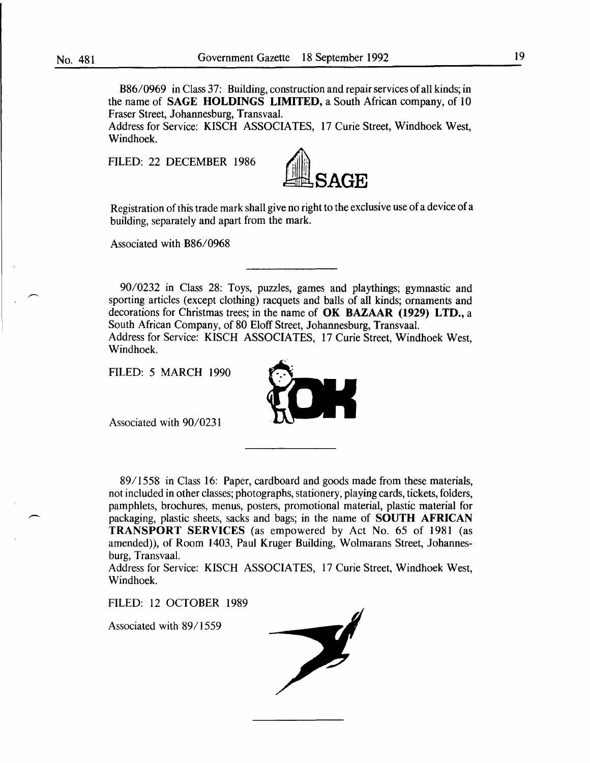B86/0969 in Class 37: Building, construction and repair services of all kinds; in the name of SAGE HOLDINGS LIMITED, a South African company, of 10 Fraser Street, Johannesburg, Transvaal.

Address for Service: KISCH ASSOCIATES, 17 Curie Street, Windhoek West, Windhoek.

FILED: 22 DECEMBER 1986



Registration of this trade mark shall give no right to the exclusive use of a device of a building, separately and apart from the mark.

Associated with B86/0968

90/0232 in Class 28: Toys, puzzles, games and playthings; gymnastic and sporting articles (except clothing) racquets and balls of all kinds; ornaments and decorations for Christmas trees; in the name of OK BAZAAR (1929) LTD., a South African Company, of 80 Eloff Street, Johannesburg, Transvaal.

Address for Service: KISCH ASSOCIATES, 17 Curie Street, Windhoek West, Windhoek.

FILED: 5 MARCH 1990



Associated with 90/0231

89/1558 in Class 16: Paper, cardboard and goods made from these materials, not included in other classes; photographs, stationery, playing cards, tickets, folders, pamphlets, brochures, menus, posters, promotional material, plastic material for packaging, plastic sheets, sacks and bags; in the name of SOUTH AFRICAN TRANSPORT SERVICES (as empowered by Act No. 65 of 1981 (as amended)), of Room 1403, Paul Kruger Building, Wolmarans Street, Johannesburg, Transvaal.

Address for Service: KISCH ASSOCIATES, 17 Curie Street, Windhoek West, Windhoek.

FILED: 12 OCTOBER 1989

Associated with 89/1559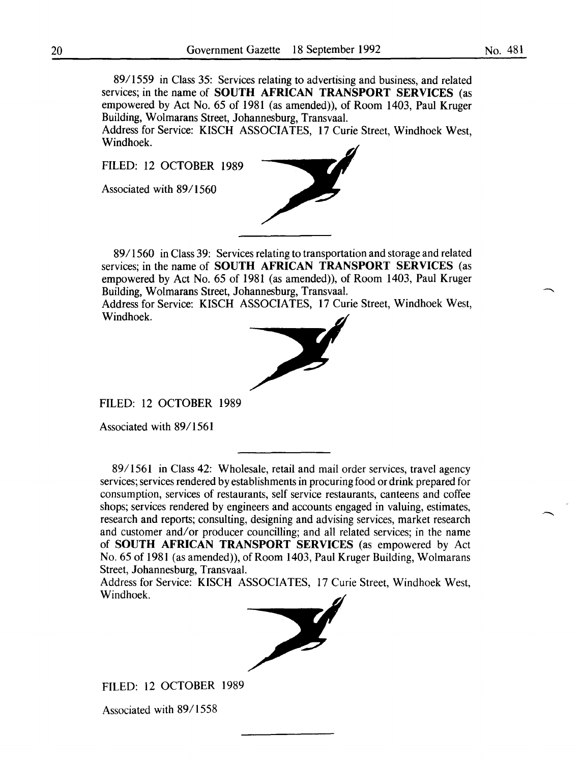89/1559 in Class 35: Services relating to advertising and business, and related services; in the name of **SOUTH AFRICAN TRANSPORT SERVICES** (as empowered by Act No. 65 of 1981 (as amended)), of Room 1403, Paul Kruger Building, Wolmarans Street, Johannesburg, Transvaal.

Address for Service: KISCH ASSOCIATES, 17 Curie Street, Windhoek West, Windhoek.

FILED: 12 OCTOBER 1989

Associated with 89/1560



89/1560 in Class 39: Services relating to transportation and storage and related services; in the name of **SOUTH AFRICAN TRANSPORT SERVICES** (as empowered by Act No. 65 of 1981 (as amended)), of Room 1403, Paul Kruger Building, Wolmarans Street, Johannesburg, Transvaal.

Address for Service: KISCH ASSOCIATES, 17 Curie Street, Windhoek West, Windhoek.



FILED: 12 OCTOBER 1989

Associated with 89/1561

89/1561 in Class 42: Wholesale, retail and mail order services, travel agency services; services rendered by establishments in procuring food or drink prepared for consumption, services of restaurants, self service restaurants, canteens and coffee shops; services rendered by engineers and accounts engaged in valuing, estimates, research and reports; consulting, designing and advising services, market research and customer and/or producer councilling; and all related services; in the name of **SOUTH AFRICAN TRANSPORT SERVICES** (as empowered by Act No. 65 of 1981 (as amended)), of Room 1403, Paul Kruger Building, Wolmarans Street, Johannesburg, Transvaal.

Address for Service: KISCH ASSOCIATES, 17 Curie Street, Windhoek West, Windhoek.



FILED: 12 OCTOBER 1989

Associated with 89/1558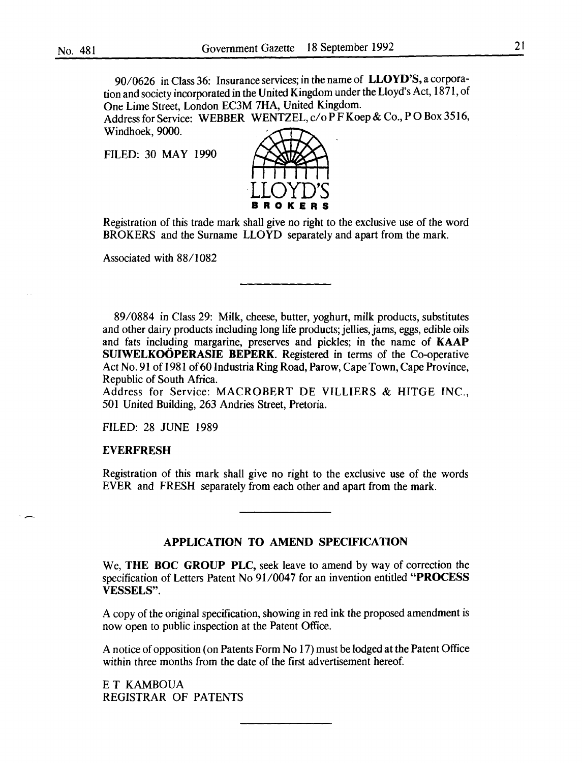90/0626 in Class 36: Insurance services; in the name of LLOYD'S, a corporation and society incorporated in the United Kingdom under the Lloyd's Act, 1871, of One Lime Street, London EC3M 7HA, United Kingdom.

Address for Service: WEBBER WENTZEL, c/o P F Koep & Co., P O Box 3516, Windhoek, 9000.

FILED: 30 MAY 1990



Registration of this trade mark shall give no right to the exclusive use of the word BROKERS and the Surname LLOYD separately and apart from the mark.

Associated with 88/1082

89/0884 in Class 29: Milk, cheese, butter, yoghurt, milk products, substitutes and other dairy products including long life products; jellies, jams, eggs, edible oils and fats including margarine, preserves and pickles; in the name of KAAP SUIWELKOÖPERASIE BEPERK. Registered in terms of the Co-operative Act No. 91 of 1981 of 60 Industria Ring Road, Parow, Cape Town, Cape Province, Republic of South Africa.

Address for Service: MACROBERT DE VILLIERS & HITGE INC., 501 United Building, 263 Andries Street, Pretoria.

FILED: 28 JUNE 1989

#### EVERFRESH

Registration of this mark shall give no right to the exclusive use of the words EVER and FRESH separately from each other and apart from the mark.

# APPLICATION TO AMEND SPECIFICATION

We, THE BOC GROUP PLC, seek leave to amend by way of correction the specification of Letters Patent No 91/0047 for an invention entitled "PROCESS VESSELS".

A copy of the original specification, showing in red ink the proposed amendment is now open to public inspection at the Patent Office.

A notice of opposition (on Patents Form No 17) must be lodged at the Patent Office within three months from the date of the first advertisement hereof.

E T KAMBOUA REGISTRAR OF PATENTS